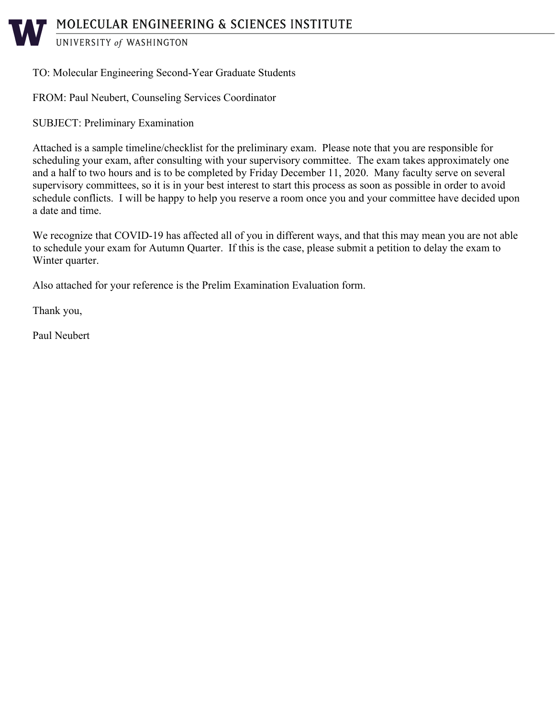UNIVERSITY of WASHINGTON

# TO: Molecular Engineering Second-Year Graduate Students

FROM: Paul Neubert, Counseling Services Coordinator

SUBJECT: Preliminary Examination

Attached is a sample timeline/checklist for the preliminary exam. Please note that you are responsible for scheduling your exam, after consulting with your supervisory committee. The exam takes approximately one and a half to two hours and is to be completed by Friday December 11, 2020. Many faculty serve on several supervisory committees, so it is in your best interest to start this process as soon as possible in order to avoid schedule conflicts. I will be happy to help you reserve a room once you and your committee have decided upon a date and time.

We recognize that COVID-19 has affected all of you in different ways, and that this may mean you are not able to schedule your exam for Autumn Quarter. If this is the case, please submit a petition to delay the exam to Winter quarter.

Also attached for your reference is the Prelim Examination Evaluation form.

Thank you,

Paul Neubert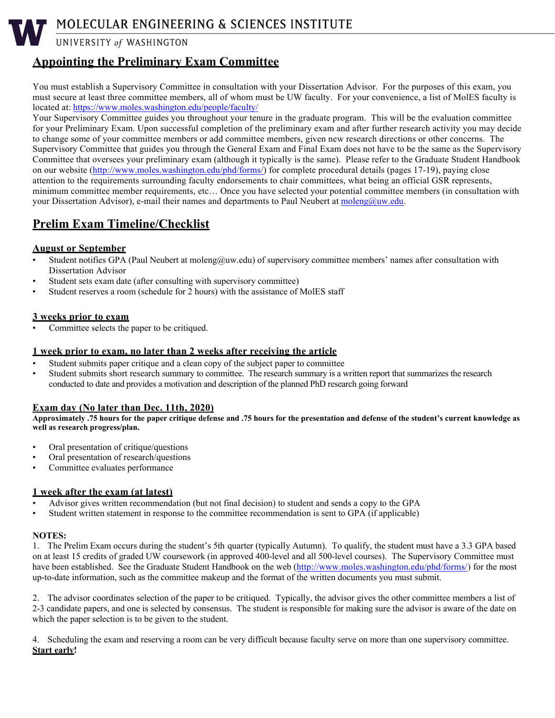MOLECULAR ENGINEERING & SCIENCES INSTITUTE

UNIVERSITY of WASHINGTON

# **Appointing the Preliminary Exam Committee**

You must establish a Supervisory Committee in consultation with your Dissertation Advisor. For the purposes of this exam, you must secure at least three committee members, all of whom must be UW faculty. For your convenience, a list of MolES faculty is located at[: https://www.moles.washington.edu/people/faculty/](https://www.moles.washington.edu/people/faculty/)

Your Supervisory Committee guides you throughout your tenure in the graduate program. This will be the evaluation committee for your Preliminary Exam. Upon successful completion of the preliminary exam and after further research activity you may decide to change some of your committee members or add committee members, given new research directions or other concerns. The Supervisory Committee that guides you through the General Exam and Final Exam does not have to be the same as the Supervisory Committee that oversees your preliminary exam (although it typically is the same). Please refer to the Graduate Student Handbook on our website [\(http://www.moles.washington.edu/phd/forms/\)](http://www.moles.washington.edu/phd/forms/) for complete procedural details (pages 17-19), paying close attention to the requirements surrounding faculty endorsements to chair committees, what being an official GSR represents, minimum committee member requirements, etc… Once you have selected your potential committee members (in consultation with your Dissertation Advisor), e-mail their names and departments to Paul Neubert at [moleng@uw.edu.](mailto:moleng@uw.edu) 

# **Prelim Exam Timeline/Checklist**

# **August or September**

- Student notifies GPA (Paul Neubert at moleng@uw.edu) of supervisory committee members' names after consultation with Dissertation Advisor
- Student sets exam date (after consulting with supervisory committee)
- Student reserves a room (schedule for 2 hours) with the assistance of MolES staff

# **3 weeks prior to exam**

Committee selects the paper to be critiqued.

## **1 week prior to exam, no later than 2 weeks after receiving the article**

- Student submits paper critique and a clean copy of the subject paper to committee
- Student submits short research summary to committee. The research summary is a written report that summarizes the research conducted to date and provides a motivation and description of the planned PhD research going forward

# **Exam day (No later than Dec. 11th, 2020)**

**Approximately .75 hours for the paper critique defense and .75 hours for the presentation and defense of the student's current knowledge as well as research progress/plan.**

- Oral presentation of critique/questions
- Oral presentation of research/questions
- Committee evaluates performance

## **1 week after the exam (at latest)**

- Advisor gives written recommendation (but not final decision) to student and sends a copy to the GPA
- Student written statement in response to the committee recommendation is sent to GPA (if applicable)

## **NOTES:**

1. The Prelim Exam occurs during the student's 5th quarter (typically Autumn). To qualify, the student must have a 3.3 GPA based on at least 15 credits of graded UW coursework (in approved 400-level and all 500-level courses). The Supervisory Committee must have been established. See the Graduate Student Handbook on the web [\(http://www.moles.washington.edu/phd/forms/\)](http://www.moles.washington.edu/phd/forms/) for the most up-to-date information, such as the committee makeup and the format of the written documents you must submit.

2. The advisor coordinates selection of the paper to be critiqued. Typically, the advisor gives the other committee members a list of 2-3 candidate papers, and one is selected by consensus. The student is responsible for making sure the advisor is aware of the date on which the paper selection is to be given to the student.

4. Scheduling the exam and reserving a room can be very difficult because faculty serve on more than one supervisory committee. **Start early!**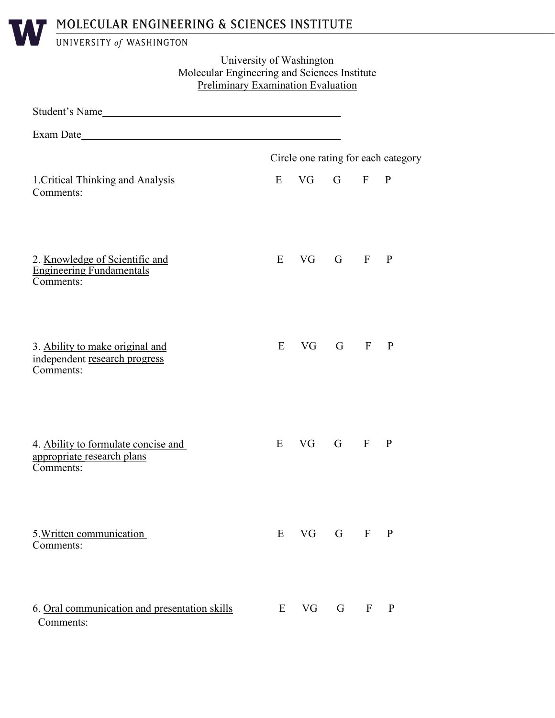# MOLECULAR ENGINEERING & SCIENCES INSTITUTE

UNIVERSITY of WASHINGTON

# University of Washington Molecular Engineering and Sciences Institute Preliminary Examination Evaluation

| Student's Name                                                                 |   |          |                  |              |                                     |  |
|--------------------------------------------------------------------------------|---|----------|------------------|--------------|-------------------------------------|--|
|                                                                                |   |          |                  |              |                                     |  |
|                                                                                |   |          |                  |              | Circle one rating for each category |  |
| 1. Critical Thinking and Analysis<br>Comments:                                 | E | VG G F P |                  |              |                                     |  |
| 2. Knowledge of Scientific and<br><b>Engineering Fundamentals</b><br>Comments: | E |          | VG G F P         |              |                                     |  |
| 3. Ability to make original and<br>independent research progress<br>Comments:  | E |          | $VG$ $G$ $F$ $P$ |              |                                     |  |
| 4. Ability to formulate concise and<br>appropriate research plans<br>Comments: | E |          | VG G F           |              | P                                   |  |
| 5. Written communication<br>Comments:                                          | E | VG       | G                | $\mathbf{F}$ | $\mathbf{P}$                        |  |
| 6. Oral communication and presentation skills<br>Comments:                     | E | VG       | G                | $\mathbf{F}$ | P                                   |  |